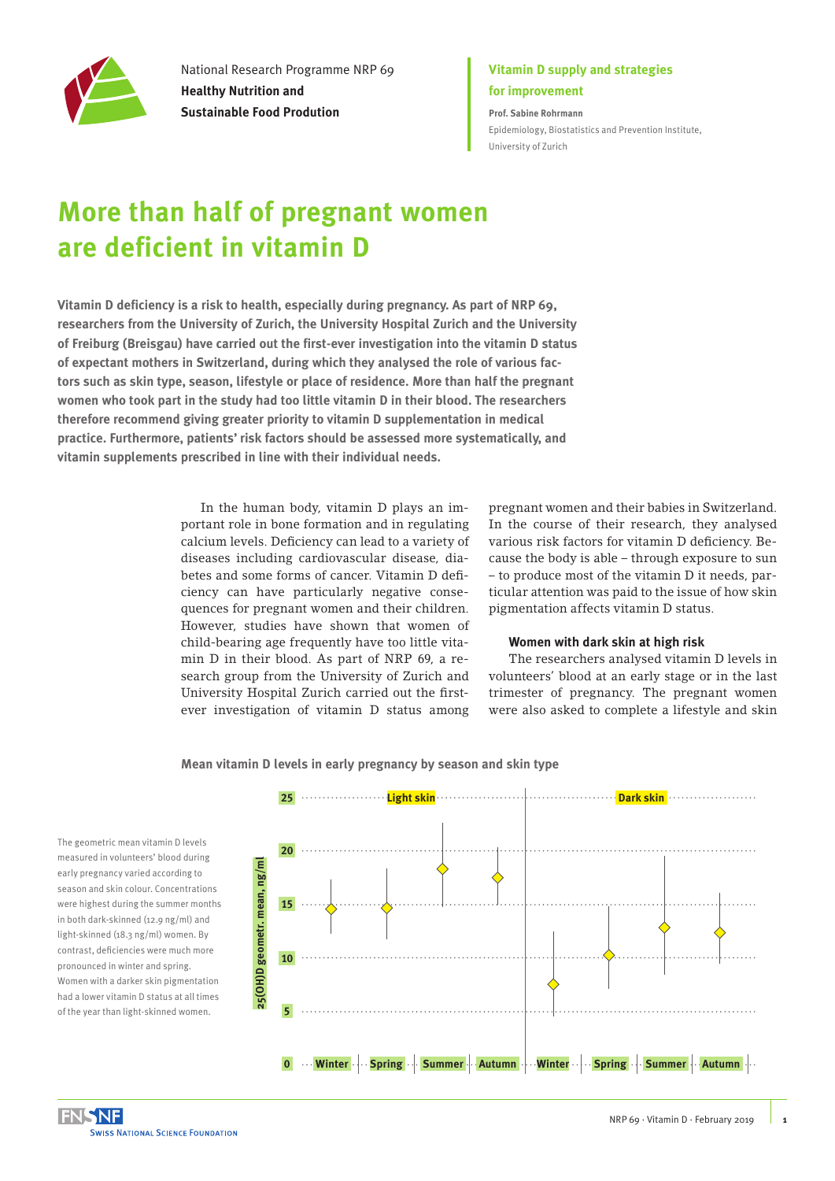

National Research Programme NRP 69 **Healthy Nutrition and Sustainable Food Prodution**

### **Vitamin D supply and strategies for improvement**

**Prof. Sabine Rohrmann** [Epidemiology, Biostatistics and Prevention Institute,](https://www.ebpi.uzh.ch/en.html)  [University of Zurich](https://www.ebpi.uzh.ch/en.html)

# **More than half of pregnant women are deficient in vitamin D**

**Vitamin D deficiency is a risk to health, especially during pregnancy. As part of NRP 69, researchers from the University of Zurich, the University Hospital Zurich and the University of Freiburg (Breisgau) have carried out the first-ever investigation into the vitamin D status of expectant mothers in Switzerland, during which they analysed the role of various factors such as skin type, season, lifestyle or place of residence. More than half the pregnant women who took part in the study had too little vitamin D in their blood. The researchers therefore recommend giving greater priority to vitamin D supplementation in medical practice. Furthermore, patients' risk factors should be assessed more systematically, and vitamin supplements prescribed in line with their individual needs.** 

> In the human body, vitamin D plays an important role in bone formation and in regulating calcium levels. Deficiency can lead to a variety of diseases including cardiovascular disease, diabetes and some forms of cancer. Vitamin D deficiency can have particularly negative consequences for pregnant women and their children. However, studies have shown that women of child-bearing age frequently have too little vitamin D in their blood. As part of NRP 69, a research group from the University of Zurich and University Hospital Zurich carried out the firstever investigation of vitamin D status among

pregnant women and their babies in Switzerland. In the course of their research, they analysed various risk factors for vitamin D deficiency. Because the body is able – through exposure to sun – to produce most of the vitamin D it needs, particular attention was paid to the issue of how skin pigmentation affects vitamin D status.

#### **Women with dark skin at high risk**

The researchers analysed vitamin D levels in volunteers' blood at an early stage or in the last trimester of pregnancy. The pregnant women were also asked to complete a lifestyle and skin

#### **Mean vitamin D levels in early pregnancy by season and skin type**

The geometric mean vitamin D levels measured in volunteers' blood during early pregnancy varied according to season and skin colour. Concentrations were highest during the summer months in both dark-skinned (12.9 ng/ml) and light-skinned (18.3 ng/ml) women. By contrast, deficiencies were much more pronounced in winter and spring. Women with a darker skin pigmentation had a lower vitamin D status at all times of the year than light-skinned women.